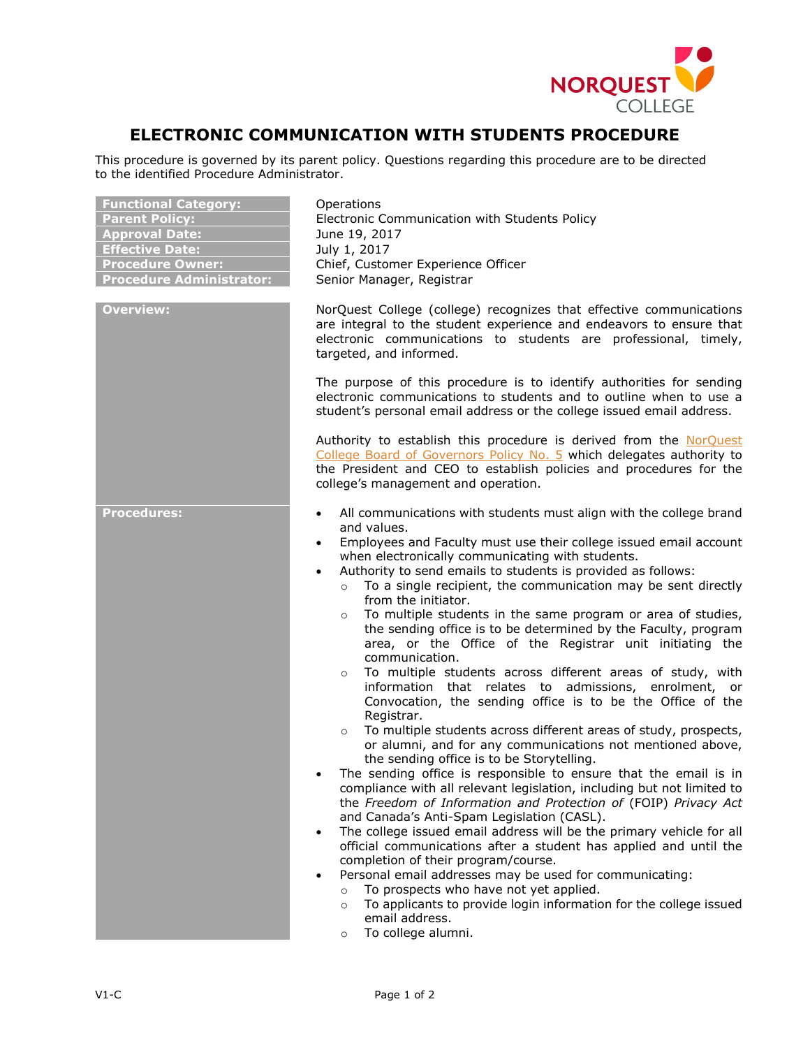

## **ELECTRONIC COMMUNICATION WITH STUDENTS PROCEDURE**

This procedure is governed by its parent policy. Questions regarding this procedure are to be directed to the identified Procedure Administrator.

| <b>Functional Category:</b><br><b>Parent Policy:</b><br><b>Approval Date:</b><br><b>Effective Date:</b><br><b>Procedure Owner:</b><br><b>Procedure Administrator:</b> | Operations<br>Electronic Communication with Students Policy<br>June 19, 2017<br>July 1, 2017<br>Chief, Customer Experience Officer<br>Senior Manager, Registrar                                                                                                                                                                                                                                                                                                                                                                                                                                                                                                                                                                                                                                                                                                                                                                                                                                                                                                                                                                                                                                                                                                                                                                                                                                                                                                                                                                                                                                                                                                                                                                                                                         |
|-----------------------------------------------------------------------------------------------------------------------------------------------------------------------|-----------------------------------------------------------------------------------------------------------------------------------------------------------------------------------------------------------------------------------------------------------------------------------------------------------------------------------------------------------------------------------------------------------------------------------------------------------------------------------------------------------------------------------------------------------------------------------------------------------------------------------------------------------------------------------------------------------------------------------------------------------------------------------------------------------------------------------------------------------------------------------------------------------------------------------------------------------------------------------------------------------------------------------------------------------------------------------------------------------------------------------------------------------------------------------------------------------------------------------------------------------------------------------------------------------------------------------------------------------------------------------------------------------------------------------------------------------------------------------------------------------------------------------------------------------------------------------------------------------------------------------------------------------------------------------------------------------------------------------------------------------------------------------------|
| <b>Overview:</b>                                                                                                                                                      | NorQuest College (college) recognizes that effective communications<br>are integral to the student experience and endeavors to ensure that<br>electronic communications to students are professional, timely,<br>targeted, and informed.<br>The purpose of this procedure is to identify authorities for sending<br>electronic communications to students and to outline when to use a                                                                                                                                                                                                                                                                                                                                                                                                                                                                                                                                                                                                                                                                                                                                                                                                                                                                                                                                                                                                                                                                                                                                                                                                                                                                                                                                                                                                  |
|                                                                                                                                                                       | student's personal email address or the college issued email address.<br>Authority to establish this procedure is derived from the NorQuest<br>College Board of Governors Policy No. 5 which delegates authority to<br>the President and CEO to establish policies and procedures for the<br>college's management and operation.                                                                                                                                                                                                                                                                                                                                                                                                                                                                                                                                                                                                                                                                                                                                                                                                                                                                                                                                                                                                                                                                                                                                                                                                                                                                                                                                                                                                                                                        |
| <b>Procedures:</b>                                                                                                                                                    | All communications with students must align with the college brand<br>$\bullet$<br>and values.<br>Employees and Faculty must use their college issued email account<br>$\bullet$<br>when electronically communicating with students.<br>Authority to send emails to students is provided as follows:<br>$\bullet$<br>To a single recipient, the communication may be sent directly<br>$\circ$<br>from the initiator.<br>To multiple students in the same program or area of studies,<br>$\circ$<br>the sending office is to be determined by the Faculty, program<br>area, or the Office of the Registrar unit initiating the<br>communication.<br>To multiple students across different areas of study, with<br>$\circ$<br>information that relates to admissions, enrolment, or<br>Convocation, the sending office is to be the Office of the<br>Registrar.<br>To multiple students across different areas of study, prospects,<br>$\circ$<br>or alumni, and for any communications not mentioned above,<br>the sending office is to be Storytelling.<br>The sending office is responsible to ensure that the email is in<br>$\bullet$<br>compliance with all relevant legislation, including but not limited to<br>the Freedom of Information and Protection of (FOIP) Privacy Act<br>and Canada's Anti-Spam Legislation (CASL).<br>The college issued email address will be the primary vehicle for all<br>$\bullet$<br>official communications after a student has applied and until the<br>completion of their program/course.<br>Personal email addresses may be used for communicating:<br>To prospects who have not yet applied.<br>$\circ$<br>To applicants to provide login information for the college issued<br>$\circ$<br>email address.<br>To college alumni.<br>$\circ$ |